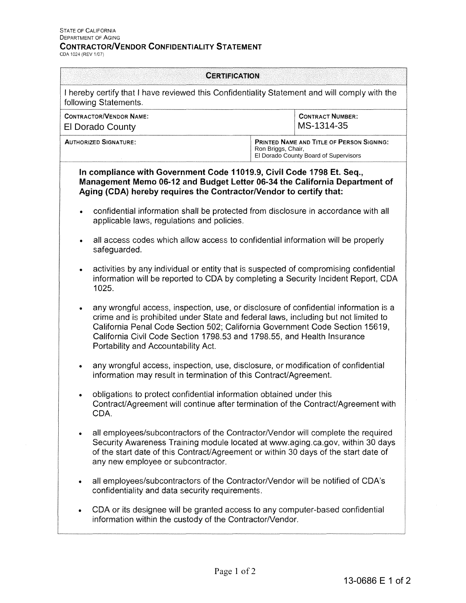## **CONTRACTOR/VENDOR CONFIDENTIALITY STATEMENT** CDA 1024 (REV 1!07)

| <b>CERTIFICATION</b>         |                                                                                                                                                                                                                                                                                                                                                                              |                                                                                                          |
|------------------------------|------------------------------------------------------------------------------------------------------------------------------------------------------------------------------------------------------------------------------------------------------------------------------------------------------------------------------------------------------------------------------|----------------------------------------------------------------------------------------------------------|
|                              | I hereby certify that I have reviewed this Confidentiality Statement and will comply with the<br>following Statements.                                                                                                                                                                                                                                                       |                                                                                                          |
|                              | <b>CONTRACTOR/VENDOR NAME:</b><br><b>El Dorado County</b>                                                                                                                                                                                                                                                                                                                    | <b>CONTRACT NUMBER:</b><br>MS-1314-35                                                                    |
| <b>AUTHORIZED SIGNATURE:</b> |                                                                                                                                                                                                                                                                                                                                                                              | PRINTED NAME AND TITLE OF PERSON SIGNING:<br>Ron Briggs, Chair,<br>El Dorado County Board of Supervisors |
|                              | In compliance with Government Code 11019.9, Civil Code 1798 Et. Seq.,<br>Management Memo 06-12 and Budget Letter 06-34 the California Department of<br>Aging (CDA) hereby requires the Contractor/Vendor to certify that:                                                                                                                                                    |                                                                                                          |
| $\bullet$                    | confidential information shall be protected from disclosure in accordance with all<br>applicable laws, regulations and policies.                                                                                                                                                                                                                                             |                                                                                                          |
| $\bullet$                    | all access codes which allow access to confidential information will be properly<br>safeguarded.                                                                                                                                                                                                                                                                             |                                                                                                          |
| ٠                            | activities by any individual or entity that is suspected of compromising confidential<br>information will be reported to CDA by completing a Security Incident Report, CDA<br>1025.                                                                                                                                                                                          |                                                                                                          |
|                              | any wrongful access, inspection, use, or disclosure of confidential information is a<br>crime and is prohibited under State and federal laws, including but not limited to<br>California Penal Code Section 502; California Government Code Section 15619,<br>California Civil Code Section 1798.53 and 1798.55, and Health Insurance<br>Portability and Accountability Act. |                                                                                                          |
| ۰                            | any wrongful access, inspection, use, disclosure, or modification of confidential<br>information may result in termination of this Contract/Agreement.                                                                                                                                                                                                                       |                                                                                                          |
|                              | obligations to protect confidential information obtained under this<br>Contract/Agreement will continue after termination of the Contract/Agreement with<br>CDA.                                                                                                                                                                                                             |                                                                                                          |
| ٠                            | all employees/subcontractors of the Contractor/Vendor will complete the required<br>Security Awareness Training module located at www.aging.ca.gov, within 30 days<br>of the start date of this Contract/Agreement or within 30 days of the start date of<br>any new employee or subcontractor.                                                                              |                                                                                                          |
| $\bullet$                    | all employees/subcontractors of the Contractor/Vendor will be notified of CDA's<br>confidentiality and data security requirements.                                                                                                                                                                                                                                           |                                                                                                          |
|                              | CDA or its designee will be granted access to any computer-based confidential<br>information within the custody of the Contractor/Vendor.                                                                                                                                                                                                                                    |                                                                                                          |